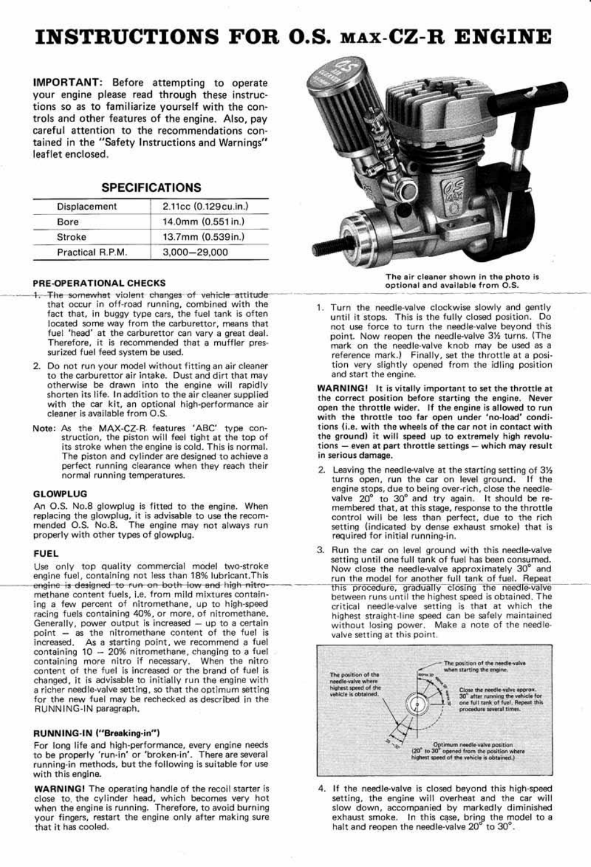# INSTRUCTIONS FOR O.S. MAx-CZ-R ENGINE

IMPORTANT: Before attempting to operate your engine please read through these instructions so as to familiarize yourself with the controls and other features of the engine. Also, pay careful attention to the recommendations contained in the "Safety Instructions and Warnings" leaflet enclosed.

| <b>SPECIFICATIONS</b> |  |
|-----------------------|--|
|-----------------------|--|

| Displacement     | 2.11cc (0.129cu.in.) |
|------------------|----------------------|
| Bore             | 14.0mm (0.551 in.)   |
| Stroke           | 13.7mm (0.539in.)    |
| Practical R.P.M. | 3,000 - 29,000       |

- 1. The somewhat violent changes of vehicle attitude that occur in off-road running, combined with the fact that, in buggy type cars, the fuel tank is often located some way from the carburettor, means that fuel 'head' at the carburettor can vary a great deal. Therefore, it is recommended that a muffler pres-<br>surized fuel feed system be used.
- 2. Do not run your model without fitting an air cleaner to the carburettor air intake. Dust and dirt that may otherwise be drawn into the engine will rapidly shorten its life. In addition to the air cleaner supplied with the car kit, an optional high-performance air cleaner is available from O.S.
- Note: As the MAX·CZ-R. features 'ABC' type con- struction. the piston will feel tight at the top of its stroke when the engine is cold. This is normal. The piston and cylinder are designed to achieve a perfect running clearance when they reach their normal running temperatures.
- 2. Leaving the needle-valve at the starting setting of 3% turns open, run the car on level ground. If the engine stops, due to being over-rich, close the needlevalve 20° to 30° and try again. It should be remembered that, at this stage, response to the throttle control will be less than perfect, due to the rich setting (indicated by dense exhaust smoke) that is required for initial running-in.
- FUEL FUEL **FUEL FUEL 3.** Run the car on level ground with this needle-valve setting until one full tank of fuel has been consumed.<br>Now close the needle-valve approximately 30° and

# GLOWPLUG

An O.S. No.8 glowplug is fitted to the engine. When replacing the glowplug, it is advisable to use the recom· mended O.S. No.8. The engine may not always run properly with other types of glowplug.

Use only top quality commercial model two-stroke engine fuel, containing not less than 18% lubricant. This engine fuel, containing not less than 18% lubricant.This run the model for another full tank of fuel. Repeat<br>This procedure, aradia-value to run on both low and high nitroengine is designed to run on both low and high nitro-<br>methane content fuels, i.e. from mild mixtures contain-<br>ing a few percent of nitromethane, up to high-speed<br>ing a few percent of nitromethane, up to high-speed<br>critical ing a few percent of nitromethane, up to high-speed exact critical needle-valve setting is that at which the racing fuels containing 40%, or more, of nitromethane. racing fuels containing 40%, or more, of nitromethane.<br>Generally, power output is increased – up to a certain and without losing power. Make a note of the needle-Generally, power output is increased - up to a certain without losing power. Make a note of the needle-<br>point - as the nitromethane content of the fuel is valve setting at this point. increased. As a starting point, we recommend a fuel containing  $10 - 20\%$  nitromethane, changing to a fuel containing more nitro if necessary. When the nitro oontent of the fuel Is increased or the brand of fuel is changed. It is advisable to initially run the engine with a richer needle-valve setting, so that the optimum setting for the new fuel may be rechecked as described in the RUNNING-IN paragraph,



The air cleaner shown in the photo is PRE-OPERATIONAL CHECKS optional and available from O.S.

> 1. Turn the needle-valve clockwise slowly and gently until it stops. This Is the fully closed position. Do not use force to turn the needle·valve beyond this point. Now reopen the needle-valve 3% turns. (The mark on the needle·valve knob rnay be used as a reference mark.) Finally, set the throttle at a posi· tion very slightly opened from the idling position and start the engine.

> WARNING! It is vitally important to set the throttle at the correct position before starting the engine. Never open the throttle wider. If the engine is allowed to run with the throttle too far open under 'no-load' conditions (i.e. with the wheels of the car not in contact with the ground) it will speed up to extremely high revolu $tions - even$  at part throttle settings  $-$  which may result in serious damage.

WARNING! The operating handle of the recoil starter is close to. the cylinder head, which becomes very hot when the engine is running. Therefore, to avoid burning your fingers, restart the engine only after making sure that it has cooled.

4. If the needle-valve is closed beyond this high-speed setting, the engine will overheat and the car will slow down, accompanied by markedly diminished exhaust smoke. In this case, bring the model to a halt and reopen the needle-valve 20° to 30°.

For long life and high-performance, every engine needs to be properly 'run-in' or 'broken-in'. There are several running·in methods. but the following is suitable for use with this engine.



# RUNNING-IN ("Breaking-in")